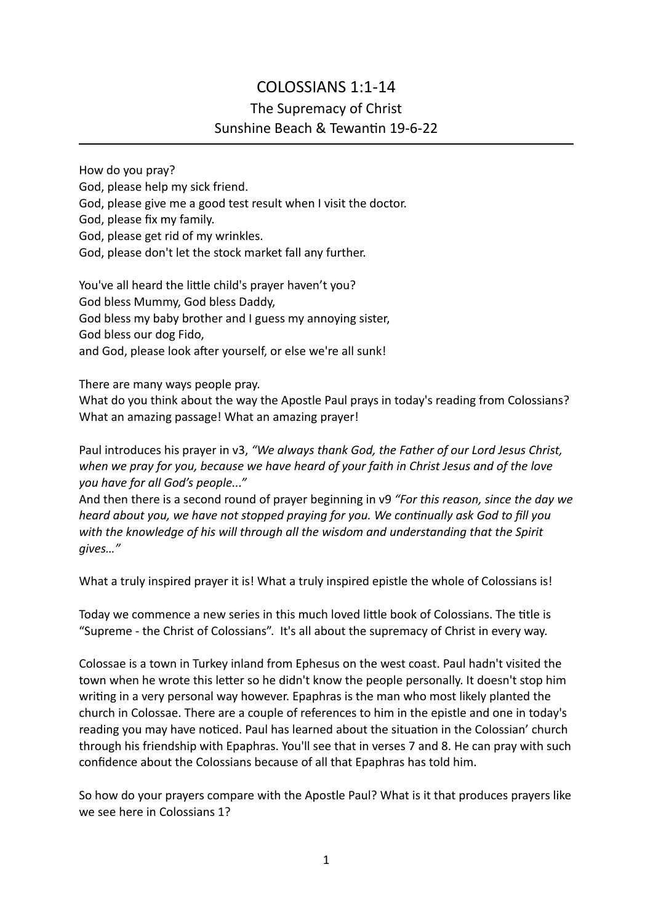## COLOSSIANS 1:1-14 The Supremacy of Christ Sunshine Beach & Tewantin 19-6-22

How do you pray? God, please help my sick friend. God, please give me a good test result when I visit the doctor. God, please fix my family. God, please get rid of my wrinkles. God, please don't let the stock market fall any further.

You've all heard the little child's prayer haven't you? God bless Mummy, God bless Daddy, God bless my baby brother and I guess my annoying sister, God bless our dog Fido, and God, please look after yourself, or else we're all sunk!

There are many ways people pray.

What do you think about the way the Apostle Paul prays in today's reading from Colossians? What an amazing passage! What an amazing prayer!

Paul introduces his prayer in v3, *"We always thank God, the Father of our Lord Jesus Christ, when we pray for you, because we have heard of your faith in Christ Jesus and of the love you have for all God's people..."*

And then there is a second round of prayer beginning in v9 *"For this reason, since the day we heard about you, we have not stopped praying for you. We continually ask God to fill you with the knowledge of his will through all the wisdom and understanding that the Spirit gives…"*

What a truly inspired prayer it is! What a truly inspired epistle the whole of Colossians is!

Today we commence a new series in this much loved little book of Colossians. The title is "Supreme - the Christ of Colossians". It's all about the supremacy of Christ in every way.

Colossae is a town in Turkey inland from Ephesus on the west coast. Paul hadn't visited the town when he wrote this letter so he didn't know the people personally. It doesn't stop him writing in a very personal way however. Epaphras is the man who most likely planted the church in Colossae. There are a couple of references to him in the epistle and one in today's reading you may have noticed. Paul has learned about the situation in the Colossian' church through his friendship with Epaphras. You'll see that in verses 7 and 8. He can pray with such confidence about the Colossians because of all that Epaphras has told him.

So how do your prayers compare with the Apostle Paul? What is it that produces prayers like we see here in Colossians 1?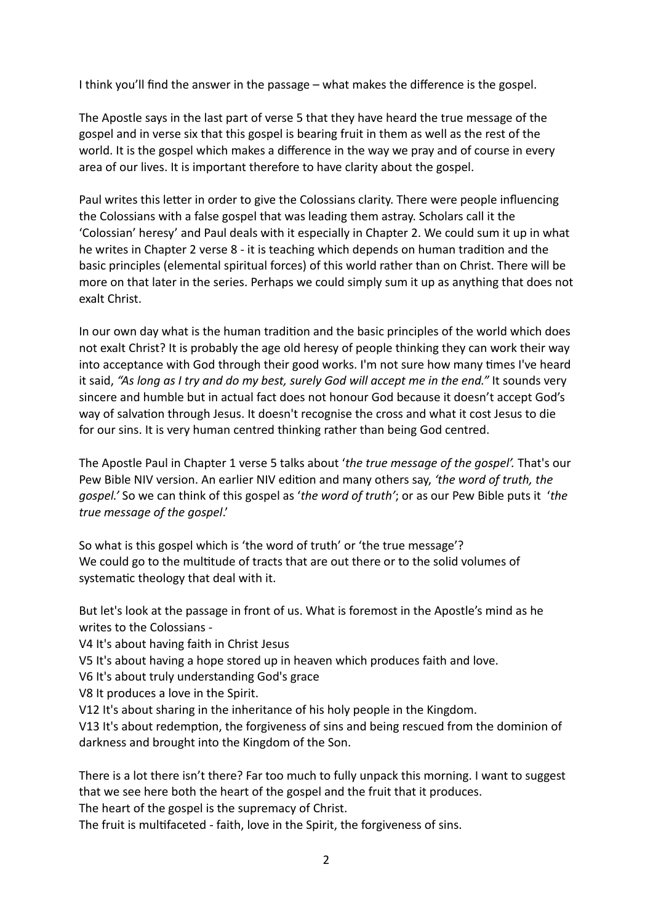I think you'll find the answer in the passage – what makes the difference is the gospel.

The Apostle says in the last part of verse 5 that they have heard the true message of the gospel and in verse six that this gospel is bearing fruit in them as well as the rest of the world. It is the gospel which makes a difference in the way we pray and of course in every area of our lives. It is important therefore to have clarity about the gospel.

Paul writes this letter in order to give the Colossians clarity. There were people influencing the Colossians with a false gospel that was leading them astray. Scholars call it the 'Colossian' heresy' and Paul deals with it especially in Chapter 2. We could sum it up in what he writes in Chapter 2 verse 8 - it is teaching which depends on human tradition and the basic principles (elemental spiritual forces) of this world rather than on Christ. There will be more on that later in the series. Perhaps we could simply sum it up as anything that does not exalt Christ.

In our own day what is the human tradition and the basic principles of the world which does not exalt Christ? It is probably the age old heresy of people thinking they can work their way into acceptance with God through their good works. I'm not sure how many times I've heard it said, *"As long as I try and do my best, surely God will accept me in the end."* It sounds very sincere and humble but in actual fact does not honour God because it doesn't accept God's way of salvation through Jesus. It doesn't recognise the cross and what it cost Jesus to die for our sins. It is very human centred thinking rather than being God centred.

The Apostle Paul in Chapter 1 verse 5 talks about '*the true message of the gospel'.* That's our Pew Bible NIV version. An earlier NIV edition and many others say, *'the word of truth, the gospel.'* So we can think of this gospel as '*the word of truth'*; or as our Pew Bible puts it '*the true message of the gospel*.'

So what is this gospel which is 'the word of truth' or 'the true message'? We could go to the multitude of tracts that are out there or to the solid volumes of systematic theology that deal with it.

But let's look at the passage in front of us. What is foremost in the Apostle's mind as he writes to the Colossians -

V4 It's about having faith in Christ Jesus

V5 It's about having a hope stored up in heaven which produces faith and love.

V6 It's about truly understanding God's grace

V8 It produces a love in the Spirit.

V12 It's about sharing in the inheritance of his holy people in the Kingdom.

V13 It's about redemption, the forgiveness of sins and being rescued from the dominion of darkness and brought into the Kingdom of the Son.

There is a lot there isn't there? Far too much to fully unpack this morning. I want to suggest that we see here both the heart of the gospel and the fruit that it produces. The heart of the gospel is the supremacy of Christ.

The fruit is multifaceted - faith, love in the Spirit, the forgiveness of sins.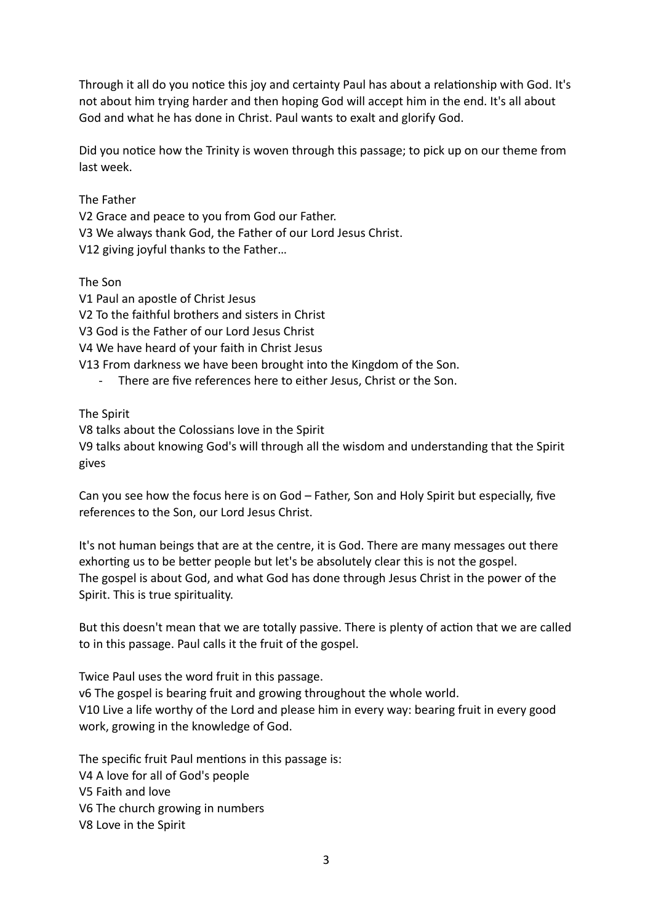Through it all do you notice this joy and certainty Paul has about a relationship with God. It's not about him trying harder and then hoping God will accept him in the end. It's all about God and what he has done in Christ. Paul wants to exalt and glorify God.

Did you notice how the Trinity is woven through this passage; to pick up on our theme from last week.

The Father

V2 Grace and peace to you from God our Father. V3 We always thank God, the Father of our Lord Jesus Christ. V12 giving joyful thanks to the Father…

The Son

V1 Paul an apostle of Christ Jesus V2 To the faithful brothers and sisters in Christ

V3 God is the Father of our Lord Jesus Christ

V4 We have heard of your faith in Christ Jesus

V13 From darkness we have been brought into the Kingdom of the Son.

There are five references here to either Jesus, Christ or the Son.

The Spirit

V8 talks about the Colossians love in the Spirit

V9 talks about knowing God's will through all the wisdom and understanding that the Spirit gives

Can you see how the focus here is on God – Father, Son and Holy Spirit but especially, five references to the Son, our Lord Jesus Christ.

It's not human beings that are at the centre, it is God. There are many messages out there exhorting us to be better people but let's be absolutely clear this is not the gospel. The gospel is about God, and what God has done through Jesus Christ in the power of the Spirit. This is true spirituality.

But this doesn't mean that we are totally passive. There is plenty of action that we are called to in this passage. Paul calls it the fruit of the gospel.

Twice Paul uses the word fruit in this passage. v6 The gospel is bearing fruit and growing throughout the whole world. V10 Live a life worthy of the Lord and please him in every way: bearing fruit in every good work, growing in the knowledge of God.

The specific fruit Paul mentions in this passage is: V4 A love for all of God's people V5 Faith and love V6 The church growing in numbers V8 Love in the Spirit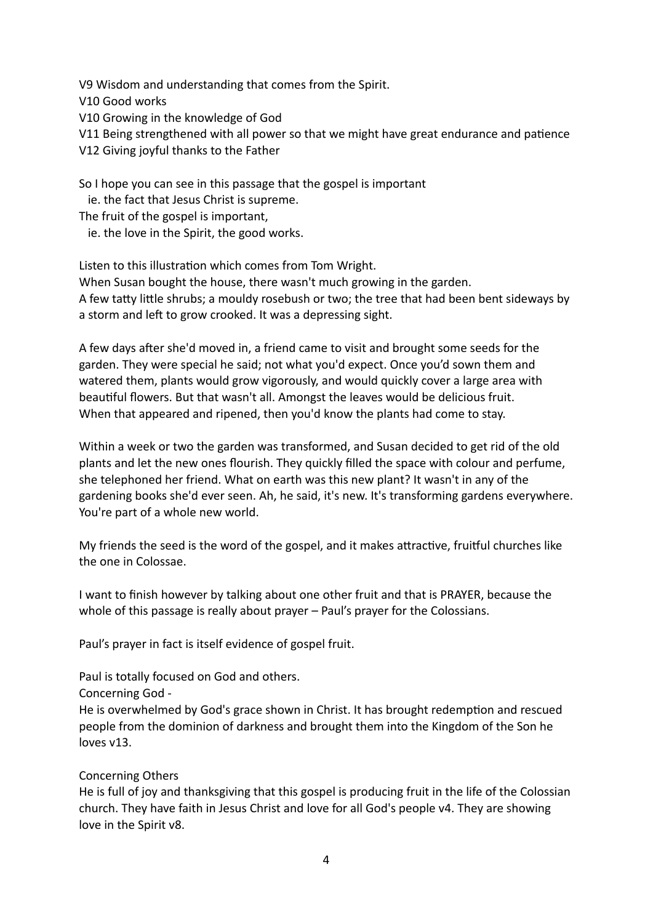V9 Wisdom and understanding that comes from the Spirit. V10 Good works V10 Growing in the knowledge of God V11 Being strengthened with all power so that we might have great endurance and patience V12 Giving joyful thanks to the Father

So I hope you can see in this passage that the gospel is important

ie. the fact that Jesus Christ is supreme.

The fruit of the gospel is important,

ie. the love in the Spirit, the good works.

Listen to this illustration which comes from Tom Wright.

When Susan bought the house, there wasn't much growing in the garden.

A few tatty little shrubs; a mouldy rosebush or two; the tree that had been bent sideways by a storm and left to grow crooked. It was a depressing sight.

A few days after she'd moved in, a friend came to visit and brought some seeds for the garden. They were special he said; not what you'd expect. Once you'd sown them and watered them, plants would grow vigorously, and would quickly cover a large area with beautiful flowers. But that wasn't all. Amongst the leaves would be delicious fruit. When that appeared and ripened, then you'd know the plants had come to stay.

Within a week or two the garden was transformed, and Susan decided to get rid of the old plants and let the new ones flourish. They quickly filled the space with colour and perfume, she telephoned her friend. What on earth was this new plant? It wasn't in any of the gardening books she'd ever seen. Ah, he said, it's new. It's transforming gardens everywhere. You're part of a whole new world.

My friends the seed is the word of the gospel, and it makes attractive, fruitful churches like the one in Colossae.

I want to finish however by talking about one other fruit and that is PRAYER, because the whole of this passage is really about prayer – Paul's prayer for the Colossians.

Paul's prayer in fact is itself evidence of gospel fruit.

Paul is totally focused on God and others.

Concerning God -

He is overwhelmed by God's grace shown in Christ. It has brought redemption and rescued people from the dominion of darkness and brought them into the Kingdom of the Son he loves v13.

## Concerning Others

He is full of joy and thanksgiving that this gospel is producing fruit in the life of the Colossian church. They have faith in Jesus Christ and love for all God's people v4. They are showing love in the Spirit v8.